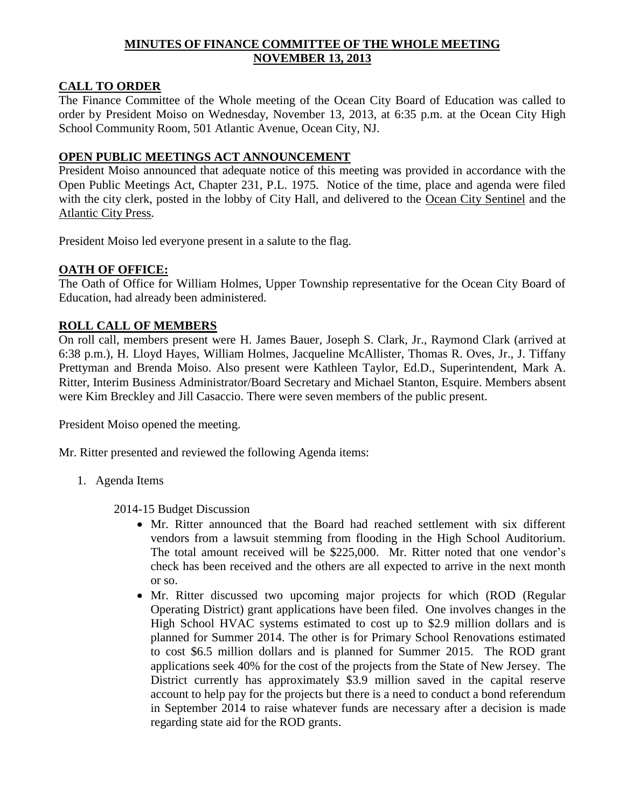# **MINUTES OF FINANCE COMMITTEE OF THE WHOLE MEETING NOVEMBER 13, 2013**

# **CALL TO ORDER**

The Finance Committee of the Whole meeting of the Ocean City Board of Education was called to order by President Moiso on Wednesday, November 13, 2013, at 6:35 p.m. at the Ocean City High School Community Room, 501 Atlantic Avenue, Ocean City, NJ.

#### **OPEN PUBLIC MEETINGS ACT ANNOUNCEMENT**

President Moiso announced that adequate notice of this meeting was provided in accordance with the Open Public Meetings Act, Chapter 231, P.L. 1975. Notice of the time, place and agenda were filed with the city clerk, posted in the lobby of City Hall, and delivered to the Ocean City Sentinel and the Atlantic City Press.

President Moiso led everyone present in a salute to the flag.

# **OATH OF OFFICE:**

The Oath of Office for William Holmes, Upper Township representative for the Ocean City Board of Education, had already been administered.

#### **ROLL CALL OF MEMBERS**

On roll call, members present were H. James Bauer, Joseph S. Clark, Jr., Raymond Clark (arrived at 6:38 p.m.), H. Lloyd Hayes, William Holmes, Jacqueline McAllister, Thomas R. Oves, Jr., J. Tiffany Prettyman and Brenda Moiso. Also present were Kathleen Taylor, Ed.D., Superintendent, Mark A. Ritter, Interim Business Administrator/Board Secretary and Michael Stanton, Esquire. Members absent were Kim Breckley and Jill Casaccio. There were seven members of the public present.

President Moiso opened the meeting.

Mr. Ritter presented and reviewed the following Agenda items:

1. Agenda Items

2014-15 Budget Discussion

- Mr. Ritter announced that the Board had reached settlement with six different vendors from a lawsuit stemming from flooding in the High School Auditorium. The total amount received will be \$225,000. Mr. Ritter noted that one vendor's check has been received and the others are all expected to arrive in the next month or so.
- Mr. Ritter discussed two upcoming major projects for which (ROD (Regular Operating District) grant applications have been filed. One involves changes in the High School HVAC systems estimated to cost up to \$2.9 million dollars and is planned for Summer 2014. The other is for Primary School Renovations estimated to cost \$6.5 million dollars and is planned for Summer 2015. The ROD grant applications seek 40% for the cost of the projects from the State of New Jersey. The District currently has approximately \$3.9 million saved in the capital reserve account to help pay for the projects but there is a need to conduct a bond referendum in September 2014 to raise whatever funds are necessary after a decision is made regarding state aid for the ROD grants.